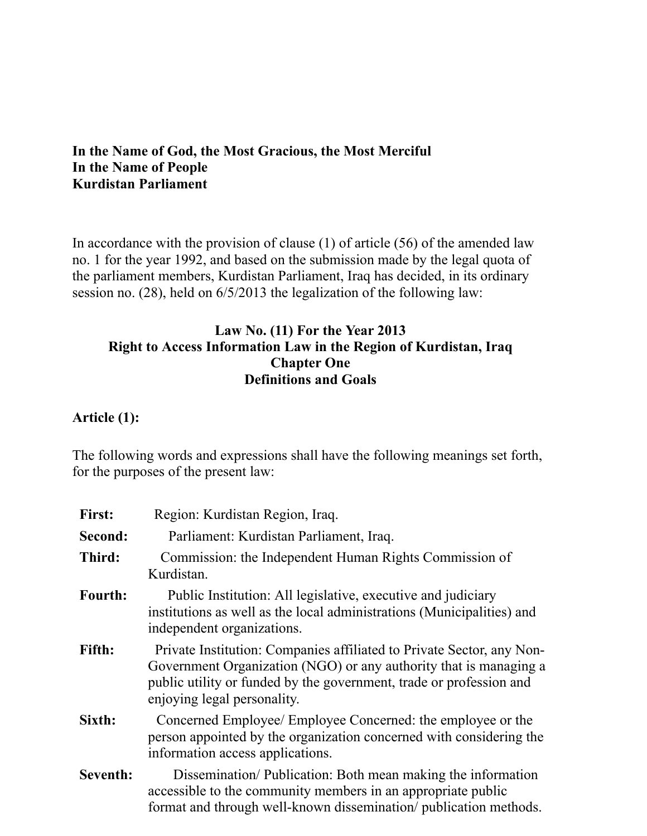#### **In the Name of God, the Most Gracious, the Most Merciful In the Name of People Kurdistan Parliament**

In accordance with the provision of clause  $(1)$  of article  $(56)$  of the amended law no. 1 for the year 1992, and based on the submission made by the legal quota of the parliament members, Kurdistan Parliament, Iraq has decided, in its ordinary session no. (28), held on 6/5/2013 the legalization of the following law:

## **Law No. (11) For the Year 2013 Right to Access Information Law in the Region of Kurdistan, Iraq Chapter One Definitions and Goals**

#### **Article (1):**

The following words and expressions shall have the following meanings set forth, for the purposes of the present law:

| <b>First:</b> | Region: Kurdistan Region, Iraq.                                                                                                                                                                                                                  |
|---------------|--------------------------------------------------------------------------------------------------------------------------------------------------------------------------------------------------------------------------------------------------|
| Second:       | Parliament: Kurdistan Parliament, Iraq.                                                                                                                                                                                                          |
| Third:        | Commission: the Independent Human Rights Commission of<br>Kurdistan.                                                                                                                                                                             |
| Fourth:       | Public Institution: All legislative, executive and judiciary<br>institutions as well as the local administrations (Municipalities) and<br>independent organizations.                                                                             |
| Fifth:        | Private Institution: Companies affiliated to Private Sector, any Non-<br>Government Organization (NGO) or any authority that is managing a<br>public utility or funded by the government, trade or profession and<br>enjoying legal personality. |
| Sixth:        | Concerned Employee/ Employee Concerned: the employee or the<br>person appointed by the organization concerned with considering the<br>information access applications.                                                                           |
| Seventh:      | Dissemination/Publication: Both mean making the information<br>accessible to the community members in an appropriate public<br>format and through well-known dissemination/publication methods.                                                  |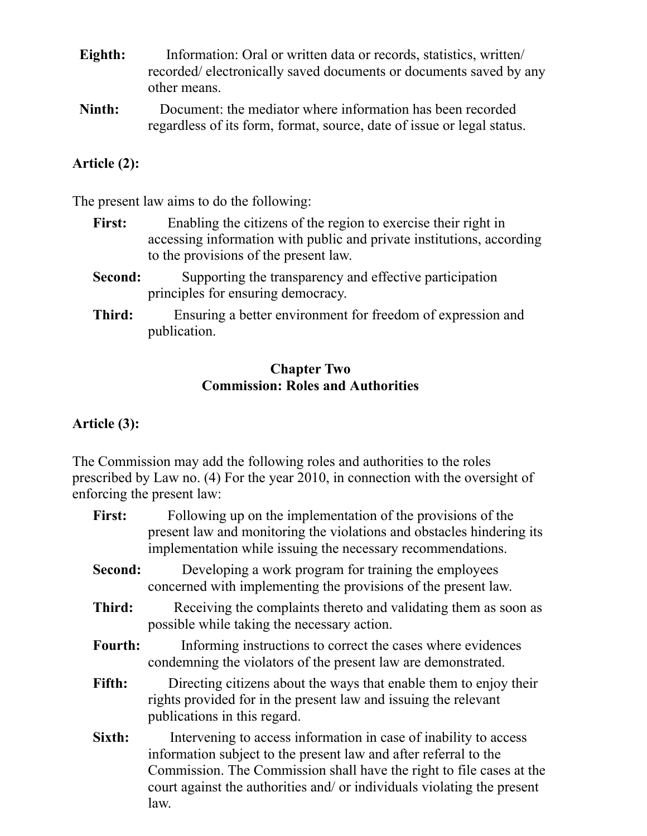- **Eighth:** Information: Oral or written data or records, statistics, written/ recorded/ electronically saved documents or documents saved by any other means.
- **Ninth:** Document: the mediator where information has been recorded regardless of its form, format, source, date of issue or legal status.

#### **Article (2):**

The present law aims to do the following:

- First: Enabling the citizens of the region to exercise their right in accessing information with public and private institutions, according to the provisions of the present law.
- **Second:** Supporting the transparency and effective participation principles for ensuring democracy.
- **Third:** Ensuring a better environment for freedom of expression and publication.

#### **Chapter Two Commission: Roles and Authorities**

## **Article (3):**

The Commission may add the following roles and authorities to the roles prescribed by Law no. (4) For the year 2010, in connection with the oversight of enforcing the present law:

- First: Following up on the implementation of the provisions of the present law and monitoring the violations and obstacles hindering its implementation while issuing the necessary recommendations.
- **Second:** Developing a work program for training the employees concerned with implementing the provisions of the present law.
- **Third:** Receiving the complaints thereto and validating them as soon as possible while taking the necessary action.
- **Fourth:** Informing instructions to correct the cases where evidences condemning the violators of the present law are demonstrated.
- Fifth: Directing citizens about the ways that enable them to enjoy their rights provided for in the present law and issuing the relevant publications in this regard.
- **Sixth:** Intervening to access information in case of inability to access information subject to the present law and after referral to the Commission. The Commission shall have the right to file cases at the court against the authorities and/ or individuals violating the present law.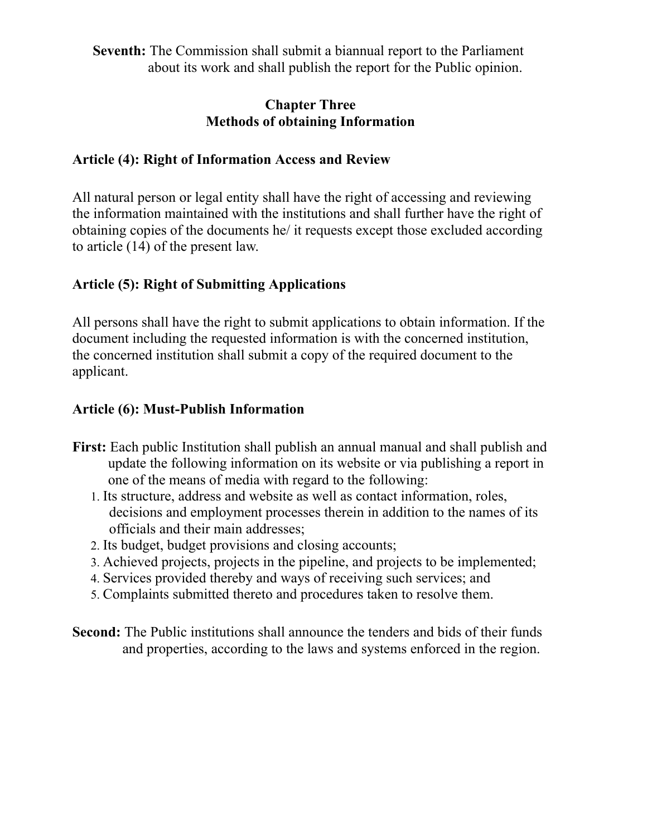**Seventh:** The Commission shall submit a biannual report to the Parliament about its work and shall publish the report for the Public opinion.

#### **Chapter Three Methods of obtaining Information**

## **Article (4): Right of Information Access and Review**

All natural person or legal entity shall have the right of accessing and reviewing the information maintained with the institutions and shall further have the right of obtaining copies of the documents he/ it requests except those excluded according to article (14) of the present law.

## **Article (5): Right of Submitting Applications**

All persons shall have the right to submit applications to obtain information. If the document including the requested information is with the concerned institution, the concerned institution shall submit a copy of the required document to the applicant.

## **Article (6): Must-Publish Information**

- **First:** Each public Institution shall publish an annual manual and shall publish and update the following information on its website or via publishing a report in one of the means of media with regard to the following:
	- 1. Its structure, address and website as well as contact information, roles, decisions and employment processes therein in addition to the names of its officials and their main addresses;
	- 2. Its budget, budget provisions and closing accounts;
	- 3. Achieved projects, projects in the pipeline, and projects to be implemented;
	- 4. Services provided thereby and ways of receiving such services; and
	- 5. Complaints submitted thereto and procedures taken to resolve them.
- **Second:** The Public institutions shall announce the tenders and bids of their funds and properties, according to the laws and systems enforced in the region.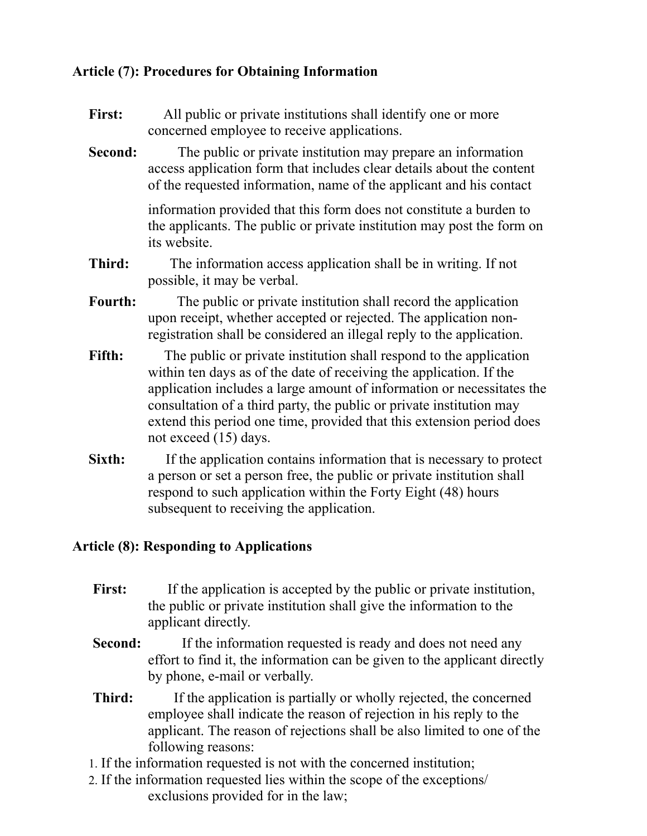# **Article (7): Procedures for Obtaining Information**

- First: All public or private institutions shall identify one or more concerned employee to receive applications.
- **Second:** The public or private institution may prepare an information access application form that includes clear details about the content of the requested information, name of the applicant and his contact

information provided that this form does not constitute a burden to the applicants. The public or private institution may post the form on its website.

- **Third:** The information access application shall be in writing. If not possible, it may be verbal.
- **Fourth:** The public or private institution shall record the application upon receipt, whether accepted or rejected. The application nonregistration shall be considered an illegal reply to the application.
- Fifth: The public or private institution shall respond to the application within ten days as of the date of receiving the application. If the application includes a large amount of information or necessitates the consultation of a third party, the public or private institution may extend this period one time, provided that this extension period does not exceed (15) days.
- **Sixth:** If the application contains information that is necessary to protect a person or set a person free, the public or private institution shall respond to such application within the Forty Eight (48) hours subsequent to receiving the application.

## **Article (8): Responding to Applications**

- First: If the application is accepted by the public or private institution, the public or private institution shall give the information to the applicant directly.
- **Second:** If the information requested is ready and does not need any effort to find it, the information can be given to the applicant directly by phone, e-mail or verbally.
- **Third:** If the application is partially or wholly rejected, the concerned employee shall indicate the reason of rejection in his reply to the applicant. The reason of rejections shall be also limited to one of the following reasons:
- 1. If the information requested is not with the concerned institution;
- 2. If the information requested lies within the scope of the exceptions/ exclusions provided for in the law;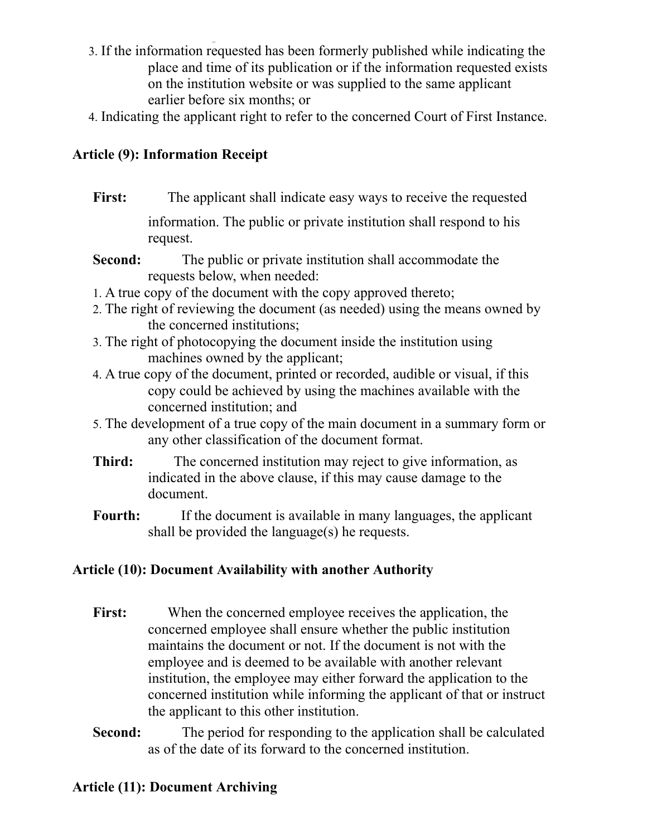- 3. If the information requested has been formerly published while indicating the place and time of its publication or if the information requested exists on the institution website or was supplied to the same applicant earlier before six months; or
- 4. Indicating the applicant right to refer to the concerned Court of First Instance.

# **Article (9): Information Receipt**

- **First:** The applicant shall indicate easy ways to receive the requested information. The public or private institution shall respond to his request.
- **Second:** The public or private institution shall accommodate the requests below, when needed:
- 1. A true copy of the document with the copy approved thereto;
- 2. The right of reviewing the document (as needed) using the means owned by the concerned institutions;
- 3. The right of photocopying the document inside the institution using machines owned by the applicant;
- 4. A true copy of the document, printed or recorded, audible or visual, if this copy could be achieved by using the machines available with the concerned institution; and
- 5. The development of a true copy of the main document in a summary form or any other classification of the document format.
- **Third:** The concerned institution may reject to give information, as indicated in the above clause, if this may cause damage to the document.
- **Fourth:** If the document is available in many languages, the applicant shall be provided the language(s) he requests.

# **Article (10): Document Availability with another Authority**

- First: When the concerned employee receives the application, the concerned employee shall ensure whether the public institution maintains the document or not. If the document is not with the employee and is deemed to be available with another relevant institution, the employee may either forward the application to the concerned institution while informing the applicant of that or instruct the applicant to this other institution.
- **Second:** The period for responding to the application shall be calculated as of the date of its forward to the concerned institution.

# **Article (11): Document Archiving**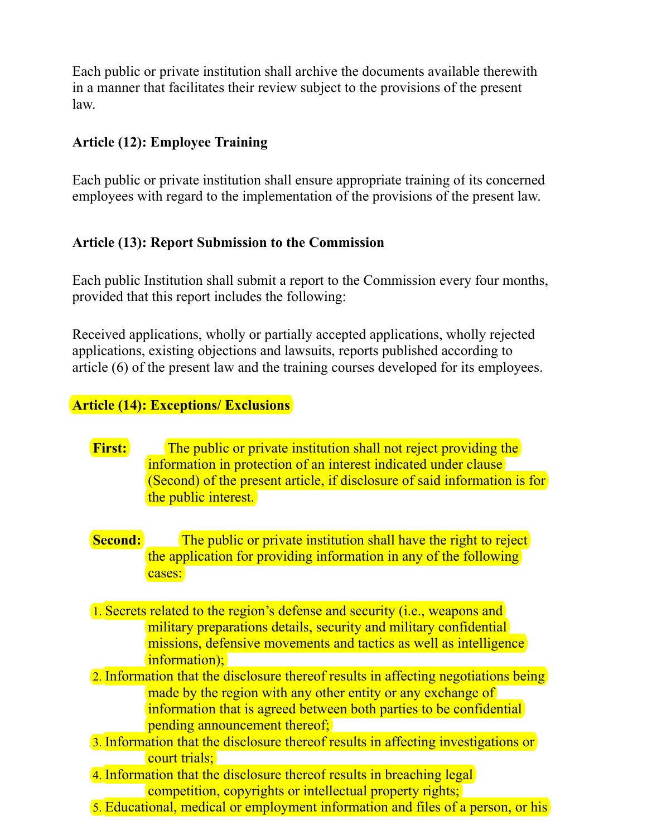Each public or private institution shall archive the documents available therewith in a manner that facilitates their review subject to the provisions of the present law.

## **Article (12): Employee Training**

Each public or private institution shall ensure appropriate training of its concerned employees with regard to the implementation of the provisions of the present law.

## **Article (13): Report Submission to the Commission**

Each public Institution shall submit a report to the Commission every four months, provided that this report includes the following:

Received applications, wholly or partially accepted applications, wholly rejected applications, existing objections and lawsuits, reports published according to article (6) of the present law and the training courses developed for its employees.

## **Article (14): Exceptions/ Exclusions**

- **First:** The public or private institution shall not reject providing the information in protection of an interest indicated under clause (Second) of the present article, if disclosure of said information is for the public interest.
- **Second:** The public or private institution shall have the right to reject the application for providing information in any of the following cases:
- 1. Secrets related to the region's defense and security (i.e., weapons and military preparations details, security and military confidential missions, defensive movements and tactics as well as intelligence information);
- 2. Information that the disclosure thereof results in affecting negotiations being made by the region with any other entity or any exchange of information that is agreed between both parties to be confidential pending announcement thereof;
- 3. Information that the disclosure thereof results in affecting investigations or court trials;
- 4. Information that the disclosure thereof results in breaching legal competition, copyrights or intellectual property rights;
- 5. Educational, medical or employment information and files of a person, or his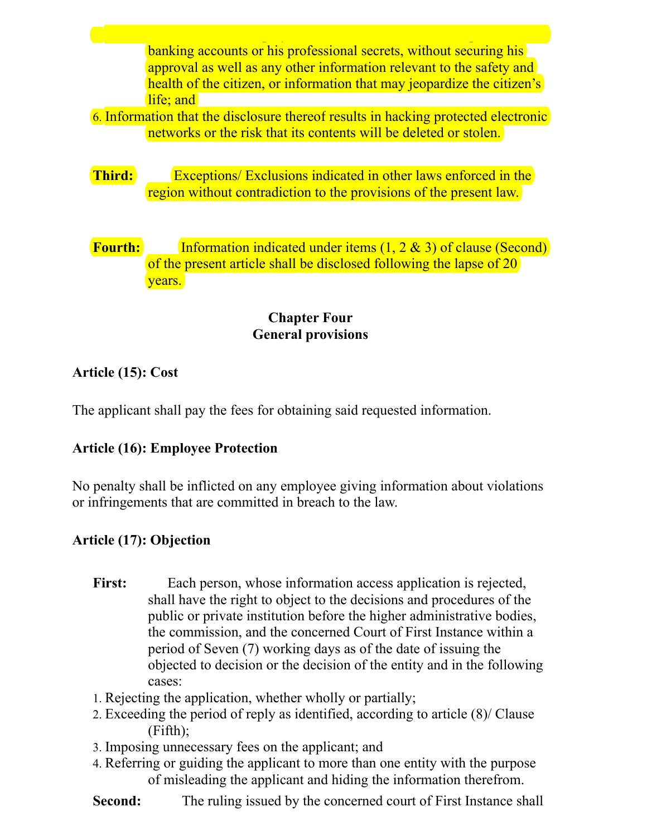banking accounts or his professional secrets, without securing his approval as well as any other information relevant to the safety and health of the citizen, or information that may jeopardize the citizen's life; and

- 6. Information that the disclosure thereof results in hacking protected electronic networks or the risk that its contents will be deleted or stolen.
- **Third:** Exceptions/ Exclusions indicated in other laws enforced in the region without contradiction to the provisions of the present law.
- **Fourth:** Information indicated under items (1, 2 & 3) of clause (Second) of the present article shall be disclosed following the lapse of 20 years.

## **Chapter Four General provisions**

## **Article (15): Cost**

The applicant shall pay the fees for obtaining said requested information.

# **Article (16): Employee Protection**

No penalty shall be inflicted on any employee giving information about violations or infringements that are committed in breach to the law.

# **Article (17): Objection**

- First: Each person, whose information access application is rejected, shall have the right to object to the decisions and procedures of the public or private institution before the higher administrative bodies, the commission, and the concerned Court of First Instance within a period of Seven (7) working days as of the date of issuing the objected to decision or the decision of the entity and in the following cases:
- 1. Rejecting the application, whether wholly or partially;
- 2. Exceeding the period of reply as identified, according to article (8)/ Clause (Fifth);
- 3. Imposing unnecessary fees on the applicant; and
- 4. Referring or guiding the applicant to more than one entity with the purpose of misleading the applicant and hiding the information therefrom.
- **Second:** The ruling issued by the concerned court of First Instance shall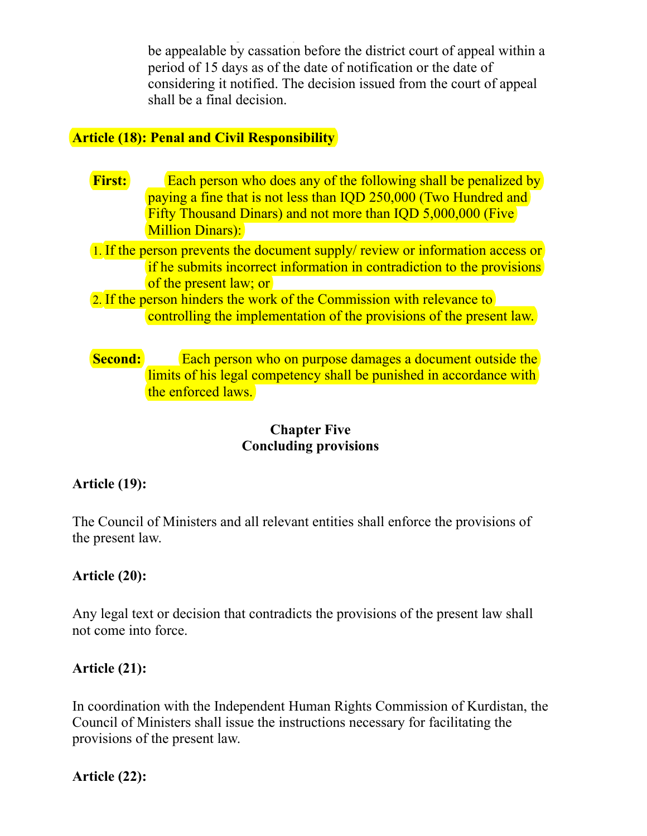be appealable by cassation before the district court of appeal within a period of 15 days as of the date of notification or the date of considering it notified. The decision issued from the court of appeal shall be a final decision.

#### **Article (18): Penal and Civil Responsibility**

- **First:** Each person who does any of the following shall be penalized by paying a fine that is not less than IQD 250,000 (Two Hundred and Fifty Thousand Dinars) and not more than IQD 5,000,000 (Five Million Dinars):
- 1. If the person prevents the document supply/ review or information access or if he submits incorrect information in contradiction to the provisions of the present law; or
- 2. If the person hinders the work of the Commission with relevance to controlling the implementation of the provisions of the present law.

## **Second:** Each person who on purpose damages a document outside the limits of his legal competency shall be punished in accordance with the enforced laws.

#### **Chapter Five Concluding provisions**

## **Article (19):**

The Council of Ministers and all relevant entities shall enforce the provisions of the present law.

## **Article (20):**

Any legal text or decision that contradicts the provisions of the present law shall not come into force.

## **Article (21):**

In coordination with the Independent Human Rights Commission of Kurdistan, the Council of Ministers shall issue the instructions necessary for facilitating the provisions of the present law.

**Article (22):**